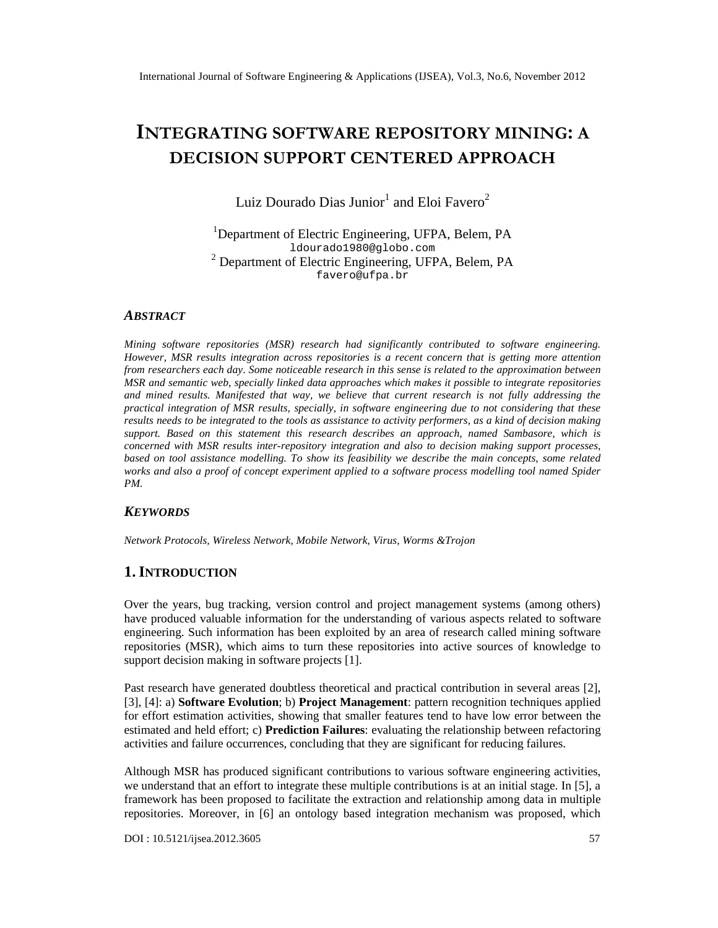# INTEGRATI**NG** FTWARE REPOSMITTORY BY DECISION SUPPORTERCEEDNAPPROACH

Luiz Dourado Dias Junioand Eloi Favero

<sup>1</sup>Department of Electric Engineering, UFPA, Belem, PA [ldourado1980@globo.com](mailto:ldourado1980@globo.com) <sup>2</sup> Departmenof Electric Engineering, UFPA, Belem, PA [favero@ufpa.br](mailto:favero@ufpa.br)

#### **ABSTRACT**

Mining software repositories (MSR) research had significantly contributed to software engineering. However, MSR results integration across reitories is a recent concern that is getting more attention from researchers each danome noticeable research in this sense is related to the approximation between MSR and semantic web, specially linked data approaches which makes it possible to einteggratories and mined results. Manifested that way, we believe that current research is not fully addressing the practical integration of MSR results, specially, in software engineering due to not considering that these results needs to be integrated the tools as assistance to activity performers, as a kind of decision making support. Based on this statement this research describes an approach, named Sambasore, which is concerned with MSR results interpository integration and also to decision maxis upport processes, based on tool assistance modelling. To show its feasibility we describe the main concepts, some related works and also a proof of concept experiment applied to a software process modelling tool named Spider PM.

#### **KEYWORDS**

Network Protocols, Wireless Network, Mobile Network, Virus, Worms &Trojon

#### 1.I NTRODUCTION

Over the years, bug tracking, version control and project management systems (among others) have produced valuable information for the understanding of various aspected telabitware engineering. Such information has been exploited by an area of research called mining software repositories (MSR), which aims to turn these repositories into active sources of knowledge to support decision making in software projects [1].

Past research have generated doubtless theoretical and practical contribution in several areas [2], [3], [4]: a) Software Evolution; b) Project Management pattern recognition techniques applied for effort estimation activities, showing that smaller featurend to have low error between the estimated and held effort; Prediction Failures: evaluating the relationship between refactoring activities and failure occurrences, concluding that they are significant for reducing failures.

Although MSR has producd significant contributions to various software engineering activities, we understand that an effort to integrate these multiple contributions is at an initial stage. In [5], a framework has been proposed to facilitate the extraction and relationship atatanin multiple repositories. Moreover, in [6] an ontology based integration mechanism was proposed, which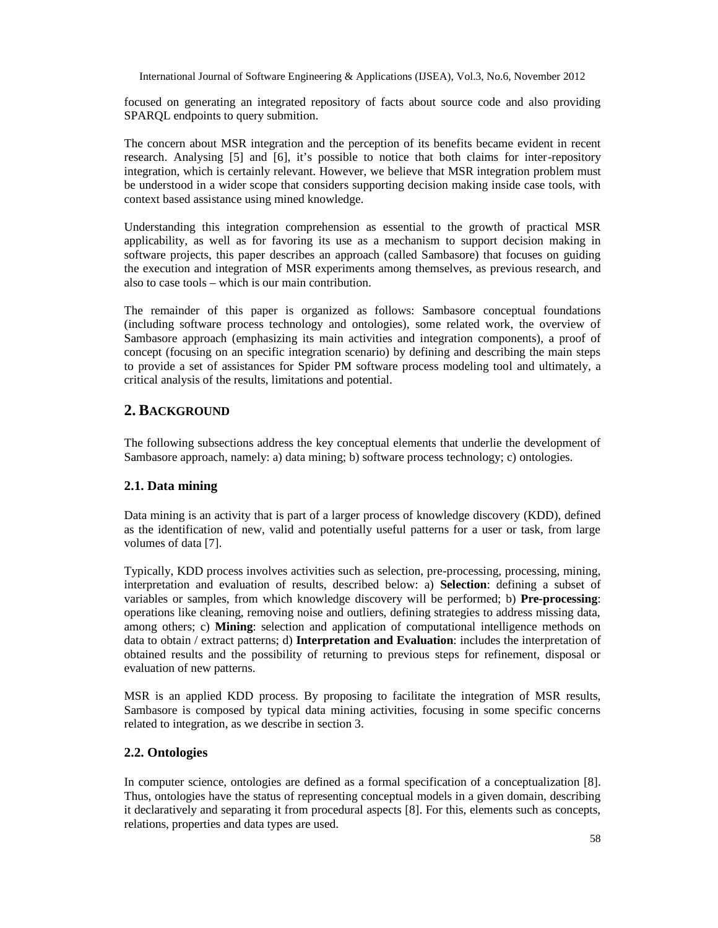focused on generating an integrated repository of facts about source code and also providing SPARQL endpoints to query submition.

The concern about MSR integration and the perception of its benefits became evident in recent research. Analysing [5] and [6], it's possible to notice that both claims for inter-repository integration, which is certainly relevant. However, we believe that MSR integration problem must be understood in a wider scope that considers supporting decision making inside case tools, with context based assistance using mined knowledge.

Understanding this integration comprehension as essential to the growth of practical MSR applicability, as well as for favoring its use as a mechanism to support decision making in software projects, this paper describes an approach (called Sambasore) that focuses on guiding the execution and integration of MSR experiments among themselves, as previous research, and also to case tools – which is our main contribution.

The remainder of this paper is organized as follows: Sambasore conceptual foundations (including software process technology and ontologies), some related work, the overview of Sambasore approach (emphasizing its main activities and integration components), a proof of concept (focusing on an specific integration scenario) by defining and describing the main steps to provide a set of assistances for Spider PM software process modeling tool and ultimately, a critical analysis of the results, limitations and potential.

## **2. BACKGROUND**

The following subsections address the key conceptual elements that underlie the development of Sambasore approach, namely: a) data mining; b) software process technology; c) ontologies.

## **2.1. Data mining**

Data mining is an activity that is part of a larger process of knowledge discovery (KDD), defined as the identification of new, valid and potentially useful patterns for a user or task, from large volumes of data [7].

Typically, KDD process involves activities such as selection, pre-processing, processing, mining, interpretation and evaluation of results, described below: a) **Selection**: defining a subset of variables or samples, from which knowledge discovery will be performed; b) **Pre-processing**: operations like cleaning, removing noise and outliers, defining strategies to address missing data, among others; c) **Mining**: selection and application of computational intelligence methods on data to obtain / extract patterns; d) **Interpretation and Evaluation**: includes the interpretation of obtained results and the possibility of returning to previous steps for refinement, disposal or evaluation of new patterns.

MSR is an applied KDD process. By proposing to facilitate the integration of MSR results, Sambasore is composed by typical data mining activities, focusing in some specific concerns related to integration, as we describe in section 3.

#### **2.2. Ontologies**

In computer science, ontologies are defined as a formal specification of a conceptualization [8]. Thus, ontologies have the status of representing conceptual models in a given domain, describing it declaratively and separating it from procedural aspects [8]. For this, elements such as concepts, relations, properties and data types are used.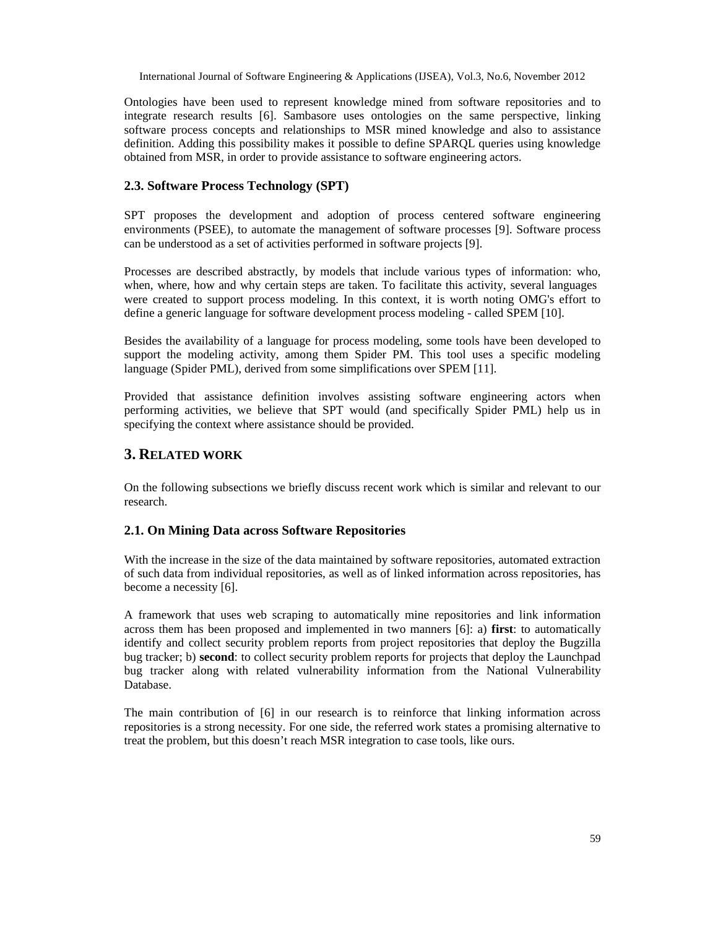Ontologies have been used to represent knowledge mined from software repositories and to integrate research results [6]. Sambasore uses ontologies on the same perspective, linking software process concepts and relationships to MSR mined knowledge and also to assistance definition. Adding this possibility makes it possible to define SPARQL queries using knowledge obtained from MSR, in order to provide assistance to software engineering actors.

## **2.3. Software Process Technology (SPT)**

SPT proposes the development and adoption of process centered software engineering environments (PSEE), to automate the management of software processes [9]. Software process can be understood as a set of activities performed in software projects [9].

Processes are described abstractly, by models that include various types of information: who, when, where, how and why certain steps are taken. To facilitate this activity, several languages were created to support process modeling. In this context, it is worth noting OMG's effort to define a generic language for software development process modeling - called SPEM [10].

Besides the availability of a language for process modeling, some tools have been developed to support the modeling activity, among them Spider PM. This tool uses a specific modeling language (Spider PML), derived from some simplifications over SPEM [11].

Provided that assistance definition involves assisting software engineering actors when performing activities, we believe that SPT would (and specifically Spider PML) help us in specifying the context where assistance should be provided.

## **3. RELATED WORK**

On the following subsections we briefly discuss recent work which is similar and relevant to our research.

#### **2.1. On Mining Data across Software Repositories**

With the increase in the size of the data maintained by software repositories, automated extraction of such data from individual repositories, as well as of linked information across repositories, has become a necessity [6].

A framework that uses web scraping to automatically mine repositories and link information across them has been proposed and implemented in two manners [6]: a) **first**: to automatically identify and collect security problem reports from project repositories that deploy the Bugzilla bug tracker; b) **second**: to collect security problem reports for projects that deploy the Launchpad bug tracker along with related vulnerability information from the National Vulnerability Database.

The main contribution of [6] in our research is to reinforce that linking information across repositories is a strong necessity. For one side, the referred work states a promising alternative to treat the problem, but this doesn't reach MSR integration to case tools, like ours.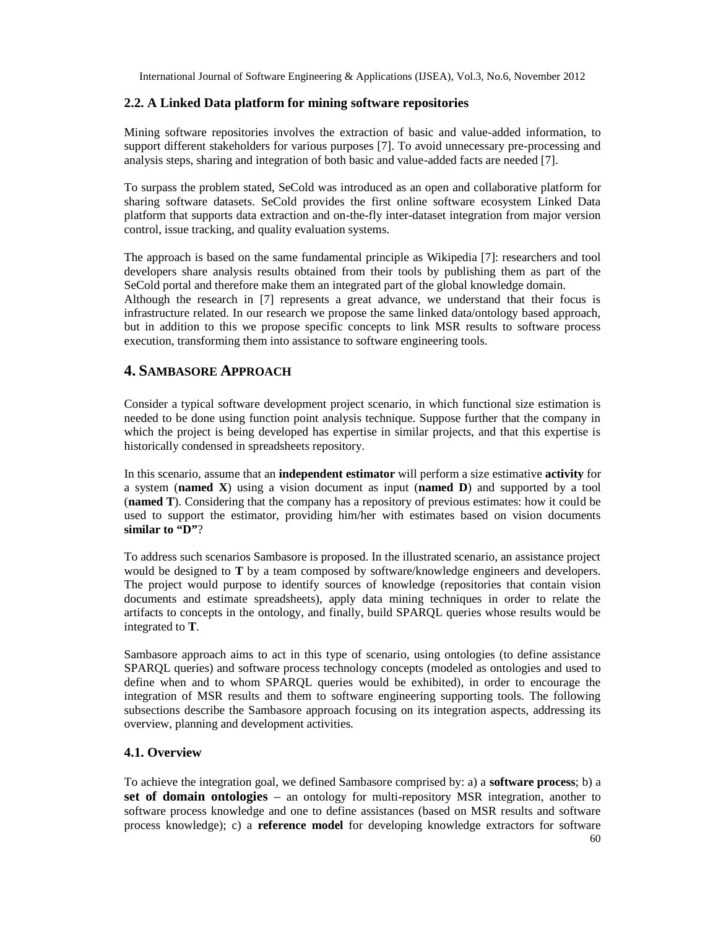## **2.2. A Linked Data platform for mining software repositories**

Mining software repositories involves the extraction of basic and value-added information, to support different stakeholders for various purposes [7]. To avoid unnecessary pre-processing and analysis steps, sharing and integration of both basic and value-added facts are needed [7].

To surpass the problem stated, SeCold was introduced as an open and collaborative platform for sharing software datasets. SeCold provides the first online software ecosystem Linked Data platform that supports data extraction and on-the-fly inter-dataset integration from major version control, issue tracking, and quality evaluation systems.

The approach is based on the same fundamental principle as Wikipedia [7]: researchers and tool developers share analysis results obtained from their tools by publishing them as part of the SeCold portal and therefore make them an integrated part of the global knowledge domain. Although the research in [7] represents a great advance, we understand that their focus is infrastructure related. In our research we propose the same linked data/ontology based approach, but in addition to this we propose specific concepts to link MSR results to software process execution, transforming them into assistance to software engineering tools.

## **4. SAMBASORE APPROACH**

Consider a typical software development project scenario, in which functional size estimation is needed to be done using function point analysis technique. Suppose further that the company in which the project is being developed has expertise in similar projects, and that this expertise is historically condensed in spreadsheets repository.

In this scenario, assume that an **independent estimator** will perform a size estimative **activity** for a system (**named X**) using a vision document as input (**named D**) and supported by a tool (**named T**). Considering that the company has a repository of previous estimates: how it could be used to support the estimator, providing him/her with estimates based on vision documents **similar to "D"**?

To address such scenarios Sambasore is proposed. In the illustrated scenario, an assistance project would be designed to **T** by a team composed by software/knowledge engineers and developers. The project would purpose to identify sources of knowledge (repositories that contain vision documents and estimate spreadsheets), apply data mining techniques in order to relate the artifacts to concepts in the ontology, and finally, build SPARQL queries whose results would be integrated to **T**.

Sambasore approach aims to act in this type of scenario, using ontologies (to define assistance SPARQL queries) and software process technology concepts (modeled as ontologies and used to define when and to whom SPARQL queries would be exhibited), in order to encourage the integration of MSR results and them to software engineering supporting tools. The following subsections describe the Sambasore approach focusing on its integration aspects, addressing its overview, planning and development activities.

#### **4.1. Overview**

To achieve the integration goal, we defined Sambasore comprised by: a) a **software process**; b) a **set of domain ontologies** – an ontology for multi-repository MSR integration, another to software process knowledge and one to define assistances (based on MSR results and software process knowledge); c) a **reference model** for developing knowledge extractors for software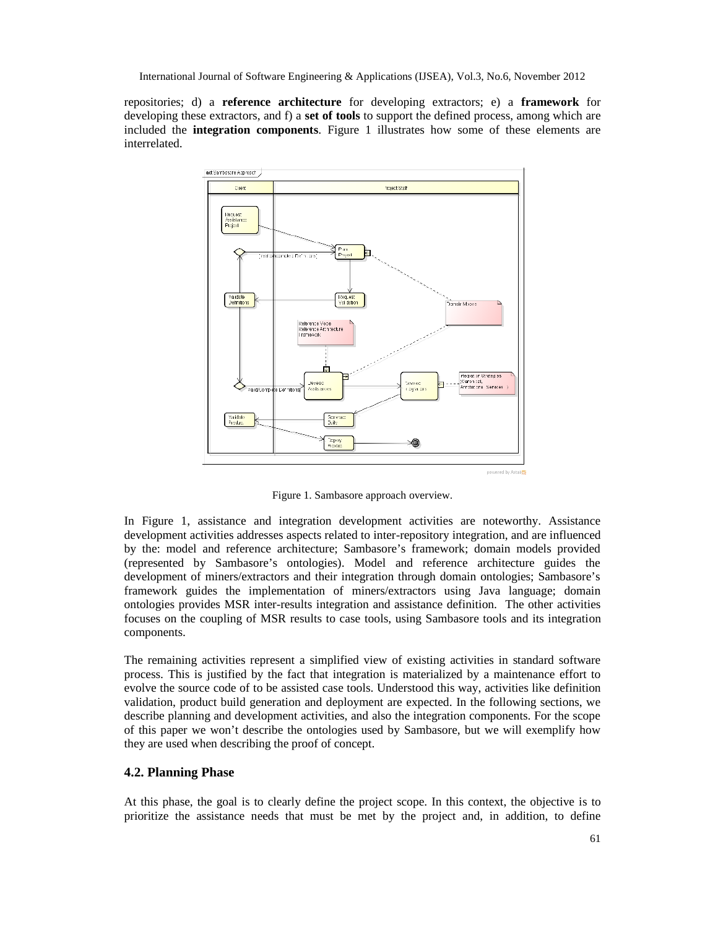repositories; d) a **reference architecture** for developing extractors; e) a **framework** for developing these extractors, and f) a **set of tools** to support the defined process, among which are included the **integration components**. Figure 1 illustrates how some of these elements are interrelated.



Figure 1. Sambasore approach overview.

In Figure 1, assistance and integration development activities are noteworthy. Assistance development activities addresses aspects related to inter-repository integration, and are influenced by the: model and reference architecture; Sambasore's framework; domain models provided (represented by Sambasore's ontologies). Model and reference architecture guides the development of miners/extractors and their integration through domain ontologies; Sambasore's framework guides the implementation of miners/extractors using Java language; domain ontologies provides MSR inter-results integration and assistance definition. The other activities focuses on the coupling of MSR results to case tools, using Sambasore tools and its integration components.

The remaining activities represent a simplified view of existing activities in standard software process. This is justified by the fact that integration is materialized by a maintenance effort to evolve the source code of to be assisted case tools. Understood this way, activities like definition validation, product build generation and deployment are expected. In the following sections, we describe planning and development activities, and also the integration components. For the scope of this paper we won't describe the ontologies used by Sambasore, but we will exemplify how they are used when describing the proof of concept.

#### **4.2. Planning Phase**

At this phase, the goal is to clearly define the project scope. In this context, the objective is to prioritize the assistance needs that must be met by the project and, in addition, to define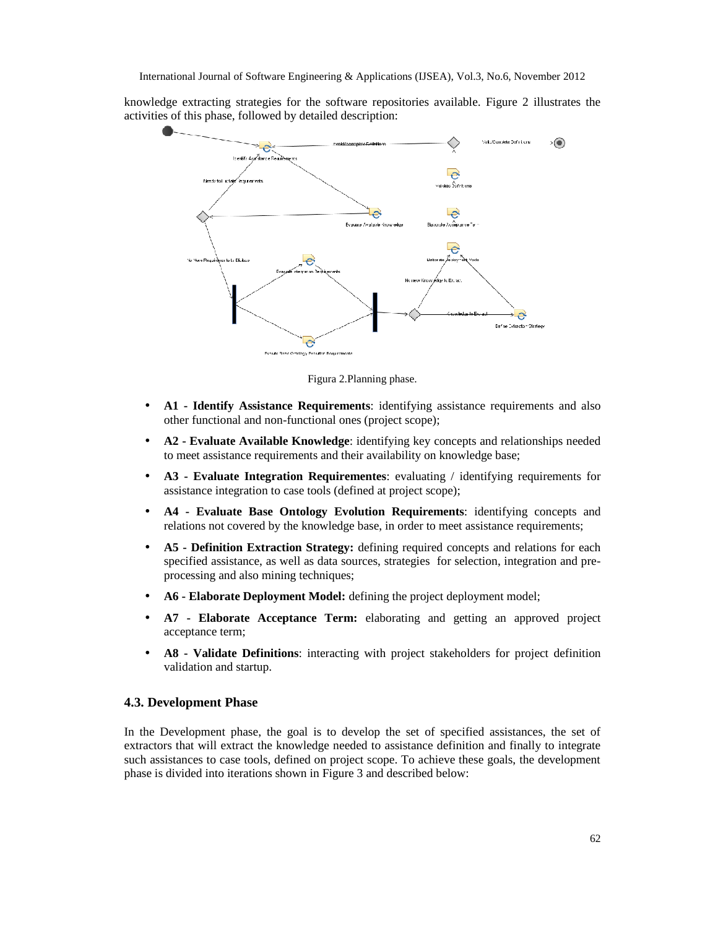knowledge extracting strategies for the software repositories available. Figure 2 illustrates the activities of this phase, followed by detailed description:



Figura 2.Planning phase.

- A1  **Identify Assistance Requirements**: identifying assistance requirements and also other functional and non-functional ones (project scope);
- **A2 - Evaluate Available Knowledge**: identifying key concepts and relationships needed to meet assistance requirements and their availability on knowledge base;
- **A3 - Evaluate Integration Requirementes**: evaluating / identifying requirements for assistance integration to case tools (defined at project scope);
- **A4 - Evaluate Base Ontology Evolution Requirements**: identifying concepts and relations not covered by the knowledge base, in order to meet assistance requirements;
- **A5 - Definition Extraction Strategy:** defining required concepts and relations for each specified assistance, as well as data sources, strategies for selection, integration and preprocessing and also mining techniques;
- **A6 - Elaborate Deployment Model:** defining the project deployment model;
- **A7 - Elaborate Acceptance Term:** elaborating and getting an approved project acceptance term;
- **A8 - Validate Definitions**: interacting with project stakeholders for project definition validation and startup.

#### **4.3. Development Phase**

In the Development phase, the goal is to develop the set of specified assistances, the set of extractors that will extract the knowledge needed to assistance definition and finally to integrate such assistances to case tools, defined on project scope. To achieve these goals, the development phase is divided into iterations shown in Figure 3 and described below: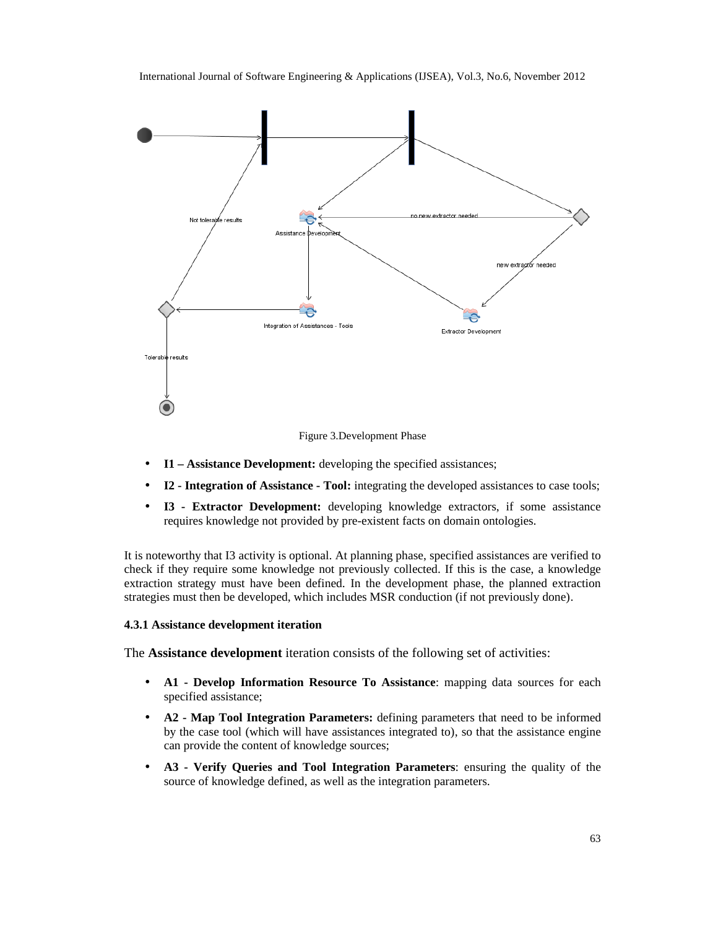

Figure 3.Development Phase

- **I1 – Assistance Development:** developing the specified assistances;
- **I2 - Integration of Assistance - Tool:** integrating the developed assistances to case tools;
- **I3 - Extractor Development:** developing knowledge extractors, if some assistance requires knowledge not provided by pre-existent facts on domain ontologies.

It is noteworthy that I3 activity is optional. At planning phase, specified assistances are verified to check if they require some knowledge not previously collected. If this is the case, a knowledge extraction strategy must have been defined. In the development phase, the planned extraction strategies must then be developed, which includes MSR conduction (if not previously done).

#### **4.3.1 Assistance development iteration**

The **Assistance development** iteration consists of the following set of activities:

- **A1 - Develop Information Resource To Assistance**: mapping data sources for each specified assistance;
- **A2 - Map Tool Integration Parameters:** defining parameters that need to be informed by the case tool (which will have assistances integrated to), so that the assistance engine can provide the content of knowledge sources;
- **A3 - Verify Queries and Tool Integration Parameters**: ensuring the quality of the source of knowledge defined, as well as the integration parameters.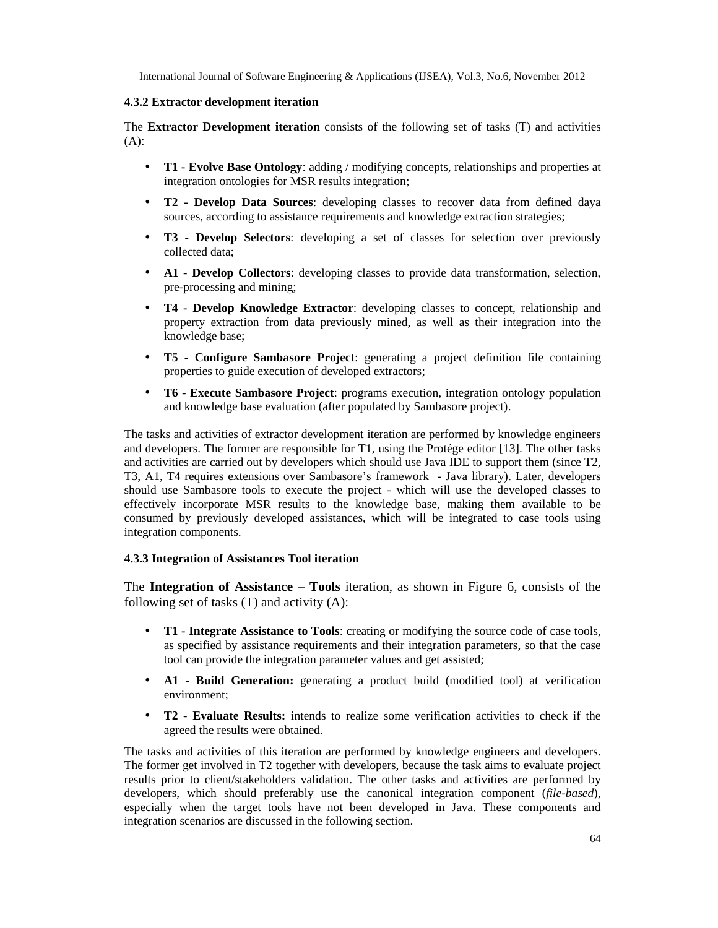#### **4.3.2 Extractor development iteration**

The **Extractor Development iteration** consists of the following set of tasks (T) and activities (A):

- **T1 - Evolve Base Ontology**: adding / modifying concepts, relationships and properties at integration ontologies for MSR results integration;
- **T2 - Develop Data Sources**: developing classes to recover data from defined daya sources, according to assistance requirements and knowledge extraction strategies;
- **T3 - Develop Selectors**: developing a set of classes for selection over previously collected data;
- **A1 - Develop Collectors**: developing classes to provide data transformation, selection, pre-processing and mining;
- **T4 - Develop Knowledge Extractor**: developing classes to concept, relationship and property extraction from data previously mined, as well as their integration into the knowledge base;
- **T5 - Configure Sambasore Project**: generating a project definition file containing properties to guide execution of developed extractors;
- **T6 - Execute Sambasore Project**: programs execution, integration ontology population and knowledge base evaluation (after populated by Sambasore project).

The tasks and activities of extractor development iteration are performed by knowledge engineers and developers. The former are responsible for T1, using the Protége editor [13]. The other tasks and activities are carried out by developers which should use Java IDE to support them (since T2, T3, A1, T4 requires extensions over Sambasore's framework - Java library). Later, developers should use Sambasore tools to execute the project - which will use the developed classes to effectively incorporate MSR results to the knowledge base, making them available to be consumed by previously developed assistances, which will be integrated to case tools using integration components.

#### **4.3.3 Integration of Assistances Tool iteration**

The **Integration of Assistance – Tools** iteration, as shown in Figure 6, consists of the following set of tasks (T) and activity (A):

- **T1 - Integrate Assistance to Tools**: creating or modifying the source code of case tools, as specified by assistance requirements and their integration parameters, so that the case tool can provide the integration parameter values and get assisted;
- **A1 - Build Generation:** generating a product build (modified tool) at verification environment;
- **T2 - Evaluate Results:** intends to realize some verification activities to check if the agreed the results were obtained.

The tasks and activities of this iteration are performed by knowledge engineers and developers. The former get involved in T2 together with developers, because the task aims to evaluate project results prior to client/stakeholders validation. The other tasks and activities are performed by developers, which should preferably use the canonical integration component (*file-based*), especially when the target tools have not been developed in Java. These components and integration scenarios are discussed in the following section.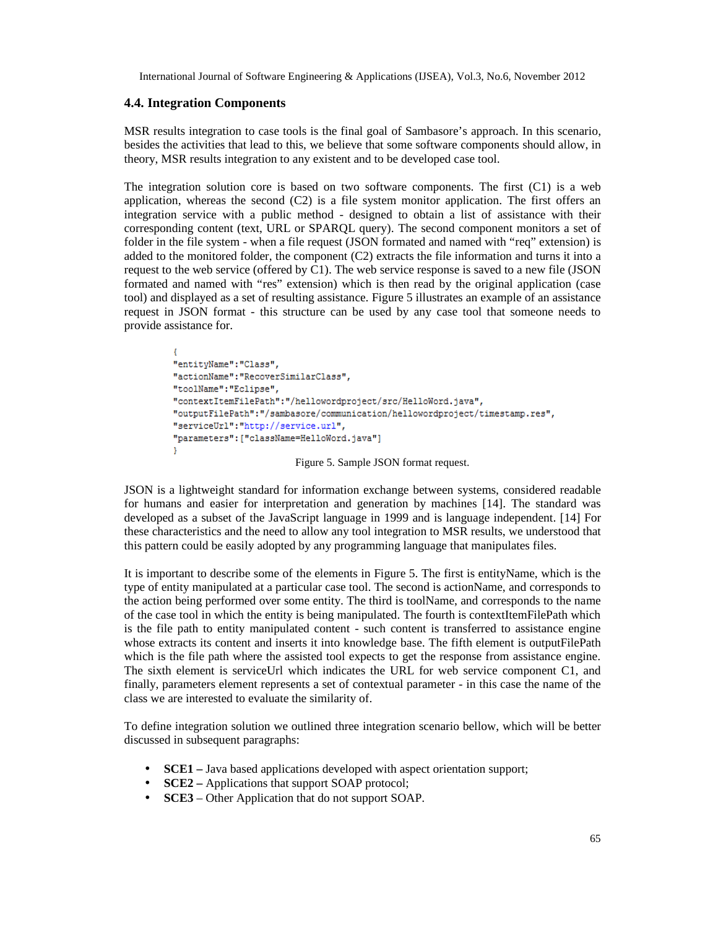#### **4.4. Integration Components**

MSR results integration to case tools is the final goal of Sambasore's approach. In this scenario, besides the activities that lead to this, we believe that some software components should allow, in theory, MSR results integration to any existent and to be developed case tool.

The integration solution core is based on two software components. The first (C1) is a web application, whereas the second  $(C2)$  is a file system monitor application. The first offers an integration service with a public method - designed to obtain a list of assistance with their corresponding content (text, URL or SPARQL query). The second component monitors a set of folder in the file system - when a file request (JSON formated and named with "req" extension) is added to the monitored folder, the component (C2) extracts the file information and turns it into a request to the web service (offered by C1). The web service response is saved to a new file (JSON formated and named with "res" extension) which is then read by the original application (case tool) and displayed as a set of resulting assistance. Figure 5 illustrates an example of an assistance request in JSON format - this structure can be used by any case tool that someone needs to provide assistance for.

```
"entityName": "Class",
"actionName": "RecoverSimilarClass",
"toolName": "Eclipse",
"contextItemFilePath":"/hellowordproject/src/HelloWord.java",
"outputFilePath":"/sambasore/communication/hellowordproject/timestamp.res",
"serviceUrl":"http://service.url",
"parameters": ["className=HelloWord.java"]
Y
                        Figure 5. Sample JSON format request.
```
JSON is a lightweight standard for information exchange between systems, considered readable for humans and easier for interpretation and generation by machines [14]. The standard was developed as a subset of the JavaScript language in 1999 and is language independent. [14] For these characteristics and the need to allow any tool integration to MSR results, we understood that this pattern could be easily adopted by any programming language that manipulates files.

It is important to describe some of the elements in Figure 5. The first is entityName, which is the type of entity manipulated at a particular case tool. The second is actionName, and corresponds to the action being performed over some entity. The third is toolName, and corresponds to the name of the case tool in which the entity is being manipulated. The fourth is contextItemFilePath which is the file path to entity manipulated content - such content is transferred to assistance engine whose extracts its content and inserts it into knowledge base. The fifth element is outputFilePath which is the file path where the assisted tool expects to get the response from assistance engine. The sixth element is serviceUrl which indicates the URL for web service component C1, and finally, parameters element represents a set of contextual parameter - in this case the name of the class we are interested to evaluate the similarity of.

To define integration solution we outlined three integration scenario bellow, which will be better discussed in subsequent paragraphs:

- **SCE1** Java based applications developed with aspect orientation support;
- **SCE2** Applications that support SOAP protocol;
- **SCE3** Other Application that do not support SOAP.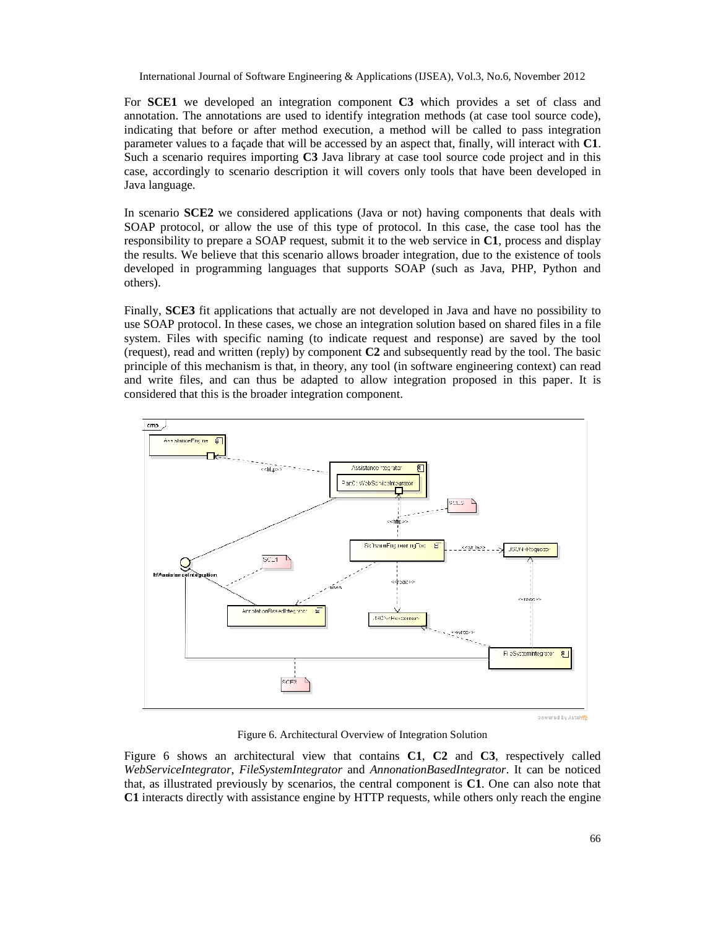For **SCE1** we developed an integration component **C3** which provides a set of class and annotation. The annotations are used to identify integration methods (at case tool source code), indicating that before or after method execution, a method will be called to pass integration parameter values to a façade that will be accessed by an aspect that, finally, will interact with **C1**. Such a scenario requires importing **C3** Java library at case tool source code project and in this case, accordingly to scenario description it will covers only tools that have been developed in Java language.

In scenario **SCE2** we considered applications (Java or not) having components that deals with SOAP protocol, or allow the use of this type of protocol. In this case, the case tool has the responsibility to prepare a SOAP request, submit it to the web service in **C1**, process and display the results. We believe that this scenario allows broader integration, due to the existence of tools developed in programming languages that supports SOAP (such as Java, PHP, Python and others).

Finally, **SCE3** fit applications that actually are not developed in Java and have no possibility to use SOAP protocol. In these cases, we chose an integration solution based on shared files in a file system. Files with specific naming (to indicate request and response) are saved by the tool (request), read and written (reply) by component **C2** and subsequently read by the tool. The basic principle of this mechanism is that, in theory, any tool (in software engineering context) can read and write files, and can thus be adapted to allow integration proposed in this paper. It is considered that this is the broader integration component.



Figure 6. Architectural Overview of Integration Solution

Figure 6 shows an architectural view that contains **C1**, **C2** and **C3**, respectively called *WebServiceIntegrator*, *FileSystemIntegrator* and *AnnonationBasedIntegrator*. It can be noticed that, as illustrated previously by scenarios, the central component is **C1**. One can also note that **C1** interacts directly with assistance engine by HTTP requests, while others only reach the engine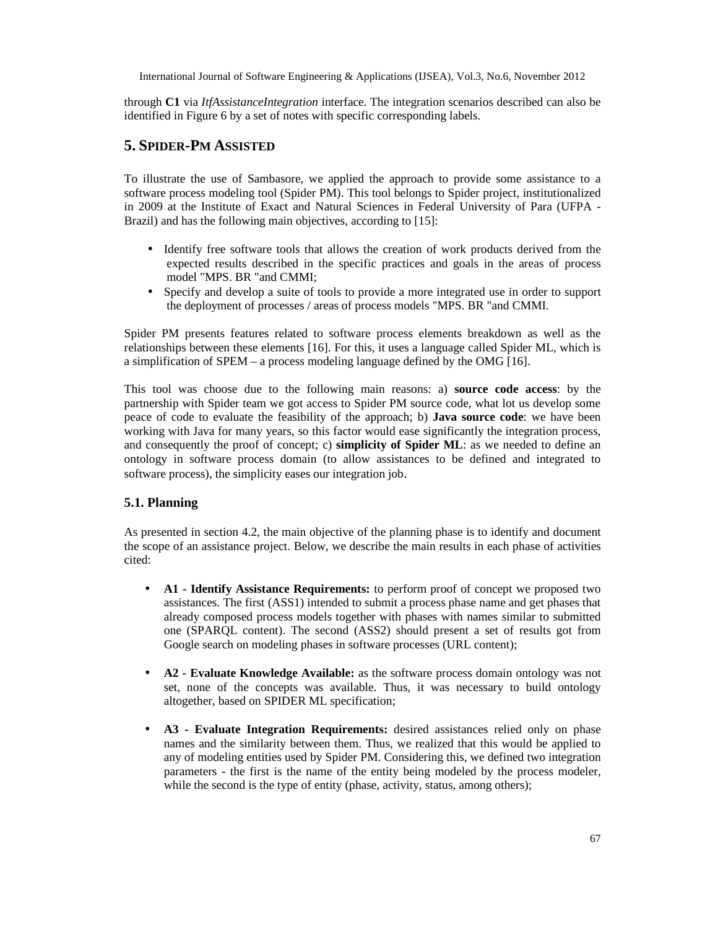through **C1** via *ItfAssistanceIntegration* interface. The integration scenarios described can also be identified in Figure 6 by a set of notes with specific corresponding labels.

## **5. SPIDER-PM ASSISTED**

To illustrate the use of Sambasore, we applied the approach to provide some assistance to a software process modeling tool (Spider PM). This tool belongs to Spider project, institutionalized in 2009 at the Institute of Exact and Natural Sciences in Federal University of Para (UFPA - Brazil) and has the following main objectives, according to [15]:

- Identify free software tools that allows the creation of work products derived from the expected results described in the specific practices and goals in the areas of process model "MPS. BR "and CMMI;
- Specify and develop a suite of tools to provide a more integrated use in order to support the deployment of processes / areas of process models "MPS. BR "and CMMI.

Spider PM presents features related to software process elements breakdown as well as the relationships between these elements [16]. For this, it uses a language called Spider ML, which is a simplification of SPEM – a process modeling language defined by the OMG [16].

This tool was choose due to the following main reasons: a) **source code access**: by the partnership with Spider team we got access to Spider PM source code, what lot us develop some peace of code to evaluate the feasibility of the approach; b) **Java source code**: we have been working with Java for many years, so this factor would ease significantly the integration process, and consequently the proof of concept; c) **simplicity of Spider ML**: as we needed to define an ontology in software process domain (to allow assistances to be defined and integrated to software process), the simplicity eases our integration job.

## **5.1. Planning**

As presented in section 4.2, the main objective of the planning phase is to identify and document the scope of an assistance project. Below, we describe the main results in each phase of activities cited:

- **A1 - Identify Assistance Requirements:** to perform proof of concept we proposed two assistances. The first (ASS1) intended to submit a process phase name and get phases that already composed process models together with phases with names similar to submitted one (SPARQL content). The second (ASS2) should present a set of results got from Google search on modeling phases in software processes (URL content);
- **A2 - Evaluate Knowledge Available:** as the software process domain ontology was not set, none of the concepts was available. Thus, it was necessary to build ontology altogether, based on SPIDER ML specification;
- **A3 - Evaluate Integration Requirements:** desired assistances relied only on phase names and the similarity between them. Thus, we realized that this would be applied to any of modeling entities used by Spider PM. Considering this, we defined two integration parameters - the first is the name of the entity being modeled by the process modeler, while the second is the type of entity (phase, activity, status, among others);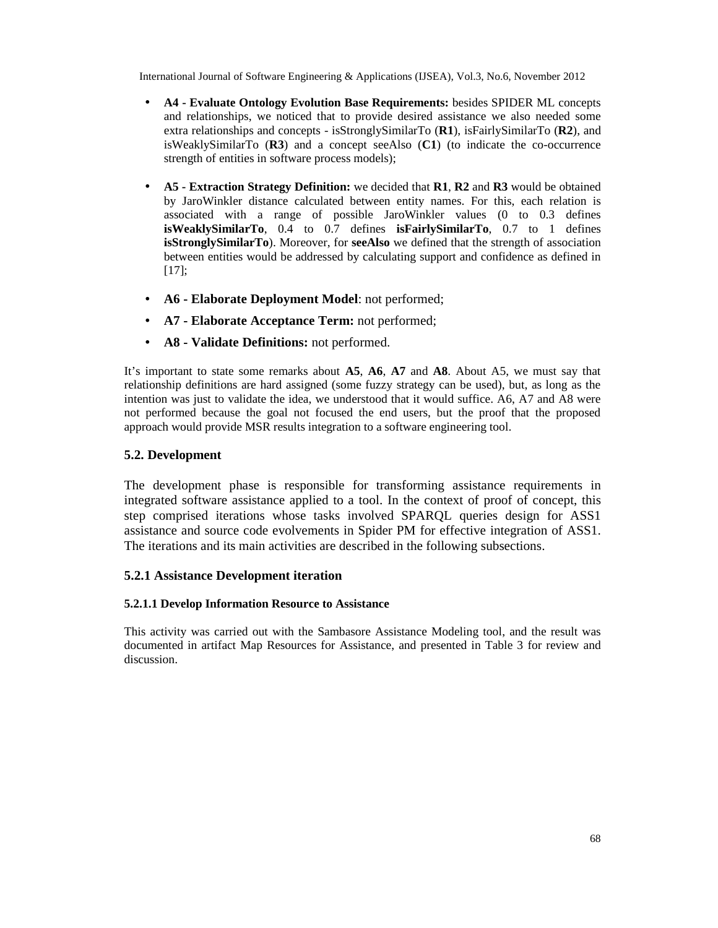- **A4 - Evaluate Ontology Evolution Base Requirements:** besides SPIDER ML concepts and relationships, we noticed that to provide desired assistance we also needed some extra relationships and concepts - isStronglySimilarTo (**R1**), isFairlySimilarTo (**R2**), and isWeaklySimilarTo (**R3**) and a concept seeAlso (**C1**) (to indicate the co-occurrence strength of entities in software process models);
- **A5 - Extraction Strategy Definition:** we decided that **R1**, **R2** and **R3** would be obtained by JaroWinkler distance calculated between entity names. For this, each relation is associated with a range of possible JaroWinkler values (0 to 0.3 defines **isWeaklySimilarTo**, 0.4 to 0.7 defines **isFairlySimilarTo**, 0.7 to 1 defines **isStronglySimilarTo**). Moreover, for **seeAlso** we defined that the strength of association between entities would be addressed by calculating support and confidence as defined in [17];
- **A6 - Elaborate Deployment Model**: not performed;
- **A7 - Elaborate Acceptance Term:** not performed;
- **A8 - Validate Definitions:** not performed.

It's important to state some remarks about **A5**, **A6**, **A7** and **A8**. About A5, we must say that relationship definitions are hard assigned (some fuzzy strategy can be used), but, as long as the intention was just to validate the idea, we understood that it would suffice. A6, A7 and A8 were not performed because the goal not focused the end users, but the proof that the proposed approach would provide MSR results integration to a software engineering tool.

## **5.2. Development**

The development phase is responsible for transforming assistance requirements in integrated software assistance applied to a tool. In the context of proof of concept, this step comprised iterations whose tasks involved SPARQL queries design for ASS1 assistance and source code evolvements in Spider PM for effective integration of ASS1. The iterations and its main activities are described in the following subsections.

## **5.2.1 Assistance Development iteration**

## **5.2.1.1 Develop Information Resource to Assistance**

This activity was carried out with the Sambasore Assistance Modeling tool, and the result was documented in artifact Map Resources for Assistance, and presented in Table 3 for review and discussion.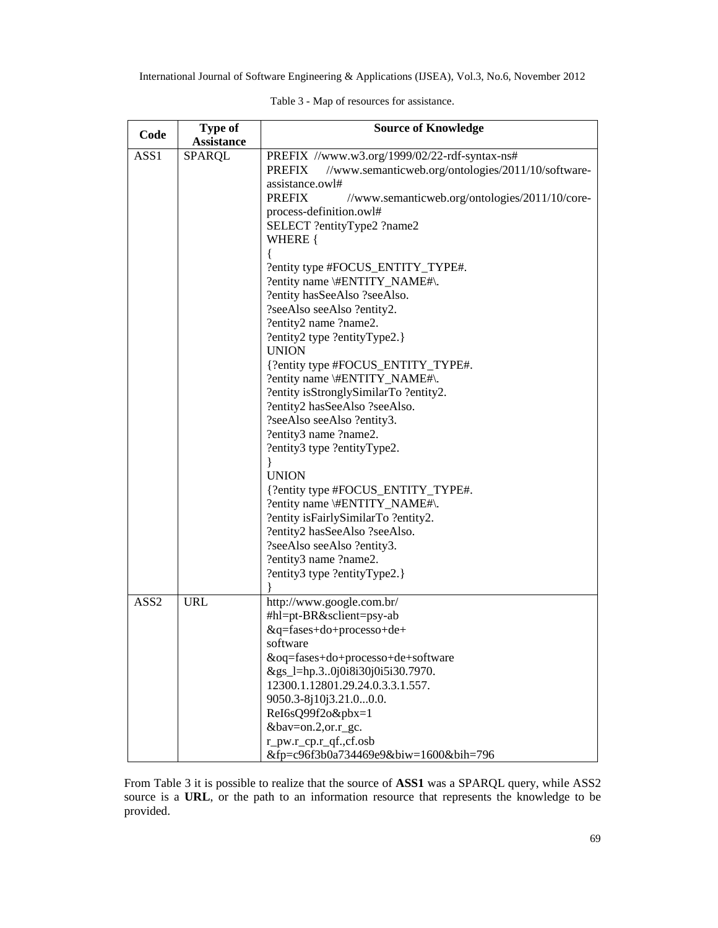|                  | Type of       | Sourceof Knowledge                                                                     |  |  |
|------------------|---------------|----------------------------------------------------------------------------------------|--|--|
| Code             | Assistance    |                                                                                        |  |  |
| ASS1             | <b>SPARQL</b> | PREFIX //www.w3.org/1999/02/20df-syntaxns#                                             |  |  |
|                  |               | <b>PREFIX</b><br>//www.semanticweb.org/ontologies/2011/10/softwa                       |  |  |
|                  |               | assistance.owl#                                                                        |  |  |
|                  |               | <b>PREFIX</b><br>//www.semanticweb.org/ontologies/2011/10/cd<br>processdefinition.owl# |  |  |
|                  |               |                                                                                        |  |  |
|                  |               | SELECT ?entity Type2 ?name2                                                            |  |  |
|                  |               | WHERE {                                                                                |  |  |
|                  |               |                                                                                        |  |  |
|                  |               | ?entity type #FOCUS_ENTITY_TYPE#.                                                      |  |  |
|                  |               | ?entity name#ENTITY_NAME#\.                                                            |  |  |
|                  |               | ?entity hasSeeAlso ?seeAlso.                                                           |  |  |
|                  |               | ?seeAlso seeAlso ?entity2.                                                             |  |  |
|                  |               | ?entity2 name ?name2.                                                                  |  |  |
|                  |               | ?entity2 type ?entityType2.}<br><b>UNION</b>                                           |  |  |
|                  |               |                                                                                        |  |  |
|                  |               | {?entity type #FOCUS_ENTITY_TYPE#.<br>?entity name#ENTITY_NAME#\.                      |  |  |
|                  |               | ?entity isStronglySimilarTo ?entity2.                                                  |  |  |
|                  |               | ?entity2 hasSeeAlso ?seeAlso.                                                          |  |  |
|                  |               | ?seeAlso seeAlso ?entity3.                                                             |  |  |
|                  |               | ?entity3 name ?name2.                                                                  |  |  |
|                  |               | ?entity3 type ?entityType2.                                                            |  |  |
|                  |               |                                                                                        |  |  |
|                  |               | <b>UNION</b>                                                                           |  |  |
|                  |               | {?entity type #FOCUS_ENTITY_TYPE#.                                                     |  |  |
|                  |               | ?entity name#ENTITY_NAME#\.                                                            |  |  |
|                  |               | ?entity isFairlySimilarTo ?dity2.                                                      |  |  |
|                  |               | ?entity2 hasSeeAlso ?seeAlso.                                                          |  |  |
|                  |               | ?seeAlso seeAlso ?entity3.                                                             |  |  |
|                  |               | ?entity3 name ?name2.                                                                  |  |  |
|                  |               | ?entity3 type ?entityType2.}                                                           |  |  |
|                  |               |                                                                                        |  |  |
| ASS <sub>2</sub> | <b>URL</b>    | http://www.google.com.br/                                                              |  |  |
|                  |               | #hl=pt-BR&sclient=psyab                                                                |  |  |
|                  |               | &q=fases+do+processo+de+                                                               |  |  |
|                  |               | software                                                                               |  |  |
|                  |               | &oq=fases+do+processo+de+software                                                      |  |  |
|                  |               | &gs_l=hp.3.0j0i8i30j0i5i30.7970.                                                       |  |  |
|                  |               | 12300.1.12801.29.24.0.3.3.1.557.                                                       |  |  |
|                  |               | 9050.38j10j3.21.00.0.                                                                  |  |  |
|                  |               | Rel6sQ99f2o&pbx=1                                                                      |  |  |
|                  |               | &bav=on.2,or.r_gc.                                                                     |  |  |
|                  |               | r_pw.r_cp.r_qf.,cf.osb                                                                 |  |  |
|                  |               | &fp=c96f3b0a734469e9&biw=1600&bih=796                                                  |  |  |

Table 3- Map of resources foassistance

From Table3 it is possibleo realize thathe source oASS1 wasa SPARQL query, while ASS2 sourceis a URL, or the path toan information resourcthat represents thenowledge to be provided.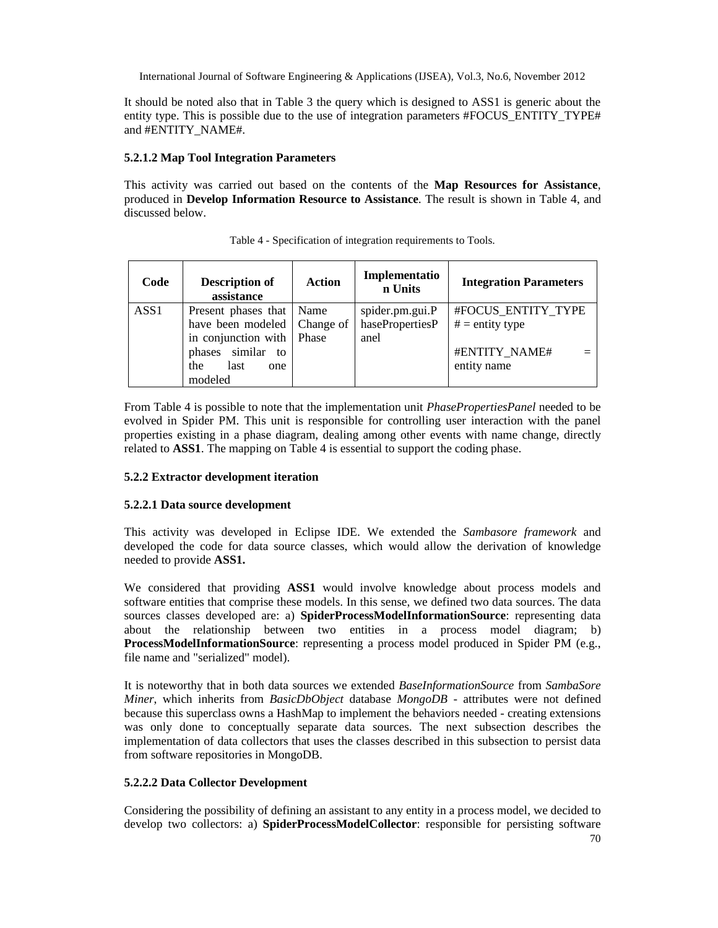It should be noted also that in Table 3 the query which is designed to ASS1 is generic about the entity type. This is possible due to the use of integration parameters #FOCUS\_ENTITY\_TYPE# and #ENTITY\_NAME#.

#### **5.2.1.2 Map Tool Integration Parameters**

This activity was carried out based on the contents of the **Map Resources for Assistance**, produced in **Develop Information Resource to Assistance**. The result is shown in Table 4, and discussed below.

| Code             | <b>Description of</b><br>assistance | <b>Action</b> | Implementatio<br>n Units | <b>Integration Parameters</b> |
|------------------|-------------------------------------|---------------|--------------------------|-------------------------------|
| ASS <sub>1</sub> | Present phases that Name            |               | spider.pm.gui.P          | #FOCUS ENTITY TYPE            |
|                  | have been modeled   Change of       |               | hasePropertiesP          | $# =$ entity type             |
|                  | in conjunction with                 | Phase         | anel                     |                               |
|                  | phases similar to                   |               |                          | #ENTITY NAME#                 |
|                  | last<br>the<br>one                  |               |                          | entity name                   |
|                  | modeled                             |               |                          |                               |

Table 4 - Specification of integration requirements to Tools.

From Table 4 is possible to note that the implementation unit *PhasePropertiesPanel* needed to be evolved in Spider PM. This unit is responsible for controlling user interaction with the panel properties existing in a phase diagram, dealing among other events with name change, directly related to **ASS1**. The mapping on Table 4 is essential to support the coding phase.

#### **5.2.2 Extractor development iteration**

#### **5.2.2.1 Data source development**

This activity was developed in Eclipse IDE. We extended the *Sambasore framework* and developed the code for data source classes, which would allow the derivation of knowledge needed to provide **ASS1.**

We considered that providing **ASS1** would involve knowledge about process models and software entities that comprise these models. In this sense, we defined two data sources. The data sources classes developed are: a) **SpiderProcessModelInformationSource**: representing data about the relationship between two entities in a process model diagram; b) **ProcessModelInformationSource**: representing a process model produced in Spider PM (e.g., file name and "serialized" model).

It is noteworthy that in both data sources we extended *BaseInformationSource* from *SambaSore Miner*, which inherits from *BasicDbObject* database *MongoDB* - attributes were not defined because this superclass owns a HashMap to implement the behaviors needed - creating extensions was only done to conceptually separate data sources. The next subsection describes the implementation of data collectors that uses the classes described in this subsection to persist data from software repositories in MongoDB.

#### **5.2.2.2 Data Collector Development**

Considering the possibility of defining an assistant to any entity in a process model, we decided to develop two collectors: a) **SpiderProcessModelCollector**: responsible for persisting software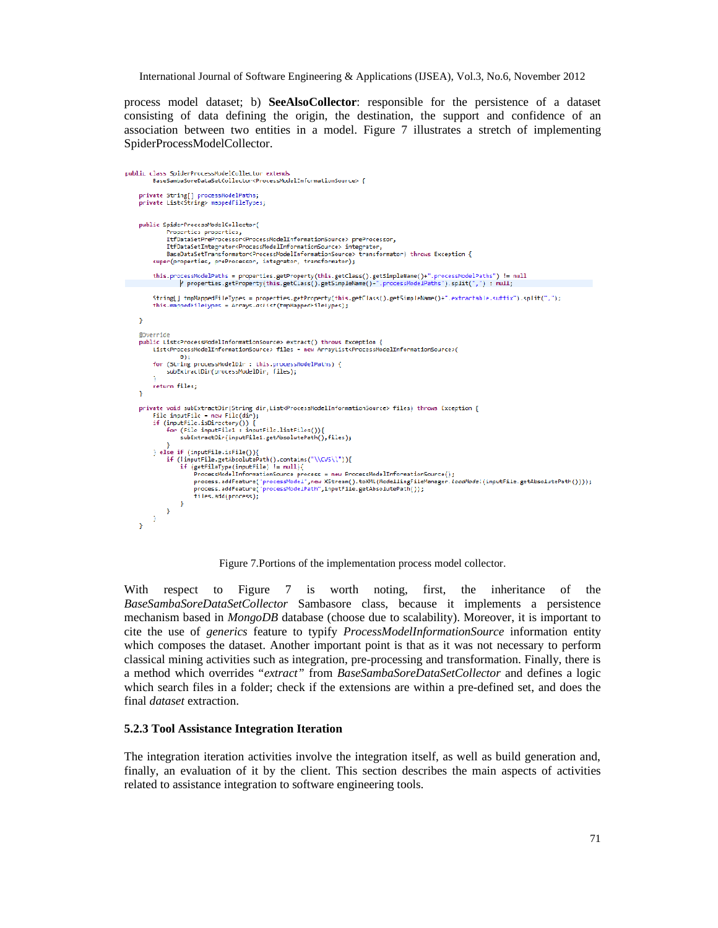process model dataset; b) **SeeAlsoCollector**: responsible for the persistence of a dataset consisting of data defining the origin, the destination, the support and confidence of an association between two entities in a model. Figure 7 illustrates a stretch of implementing SpiderProcessModelCollector.

```
public class SpiderProcessModelCollector extends
            private String[] processModelPaths;
      private List<String> mappedFileTypes;
      public SpiderProcessModelCollector(
                 ://www.vieware.com/<br>Properties-properties,<br>ItfDataSetPreProcessor<ProcessNcdelInformationSource>-preProcessor,
                 ItfDataSetIntegrator<ProcessModelInformationSource> integrator,<br>ItfDataSetIntegrator<ProcessModelInformationSource> integrator,<br>BaseDataSetTransformator<ProcessModelInformationSource> transformator) throws Exception {
            super(properties, preProcessor, integrator, transformator);
            this.processNodelPaths = properties.getProperty(this.getClass().getSimpleName()+".processNodelPaths") != null<br>|} properties.getProperty(this.getClass().getSimpleName()+".processModelPaths").split(",") : null;
            String[] topNappedFileTypes = properties.getProperty(this.getClass().getSimpleName()+".extractable.suffix").split(",");
            this m
                       nnedFileTypes = Arrays.asList(tmpMappedFileTypes);
     \Delta@Override
      governate<br>public List<ProcessModelInformationSource> extract() throws Exception {<br>List<ProcessModelInformationSource> files = new ArrayList<ProcessModelInformationSource>(
                       \Theta:
            for (String processModelDir : this.processModelPaths) {<br>subExtractDir(processModelDir, files);
            return files;
      Ÿ
      private void subExtractDir(String dir,List<ProcessModelInformationSource> files) throws Exception {
            File inputFile - new File(dir);<br>if (inputFile.isDirectory()) [<br>for (File inputFile1 : inputFile.listFiles())[
                       subExtractDir(inputFile1.get/bsolutePath(),files);
            } else if (inputFile.isFile()){
                 ise ir (inputrile..isriet());<br>if (inputrile.get/bsolutePath().contains("\\CVS\\*)){<br>if (getFileType(inputFile) != null){<br>ProcessModelInformationSource process = new ProcessModelInformationSource();
                             rrocess.addFeature("processModel",new XStream().toXML(NodellingFileManager.locdModel(inputFile.getAbsolutePath())));<br>process.addFeature("processModel",new XStream().toXML(NodellingFileManager.locdModel(inputFile.getAbs
               \chi^{(1)}tiles.add(process):
          - 3
      <sup>}</sup>
```
Figure 7.Portions of the implementation process model collector.

With respect to Figure 7 is worth noting, first, the inheritance of the *BaseSambaSoreDataSetCollector* Sambasore class, because it implements a persistence mechanism based in *MongoDB* database (choose due to scalability). Moreover, it is important to cite the use of *generics* feature to typify *ProcessModelInformationSource* information entity which composes the dataset. Another important point is that as it was not necessary to perform classical mining activities such as integration, pre-processing and transformation. Finally, there is a method which overrides "*extract"* from *BaseSambaSoreDataSetCollector* and defines a logic which search files in a folder; check if the extensions are within a pre-defined set, and does the final *dataset* extraction.

#### **5.2.3 Tool Assistance Integration Iteration**

The integration iteration activities involve the integration itself, as well as build generation and, finally, an evaluation of it by the client. This section describes the main aspects of activities related to assistance integration to software engineering tools.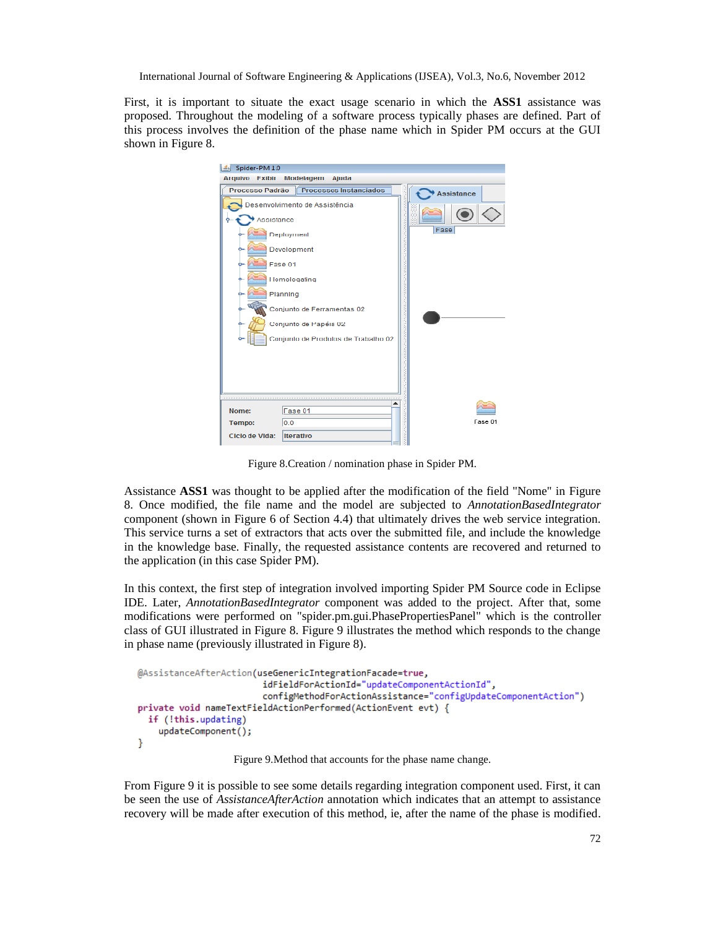First, it is important to situate the exact usage scenario in which the **ASS1** assistance was proposed. Throughout the modeling of a software process typically phases are defined. Part of this process involves the definition of the phase name which in Spider PM occurs at the GUI shown in Figure 8.



Figure 8.Creation / nomination phase in Spider PM.

Assistance **ASS1** was thought to be applied after the modification of the field "Nome" in Figure 8. Once modified, the file name and the model are subjected to *AnnotationBasedIntegrator* component (shown in Figure 6 of Section 4.4) that ultimately drives the web service integration. This service turns a set of extractors that acts over the submitted file, and include the knowledge in the knowledge base. Finally, the requested assistance contents are recovered and returned to the application (in this case Spider PM).

In this context, the first step of integration involved importing Spider PM Source code in Eclipse IDE. Later, *AnnotationBasedIntegrator* component was added to the project. After that, some modifications were performed on "spider.pm.gui.PhasePropertiesPanel" which is the controller class of GUI illustrated in Figure 8. Figure 9 illustrates the method which responds to the change in phase name (previously illustrated in Figure 8).

```
@AssistanceAfterAction(useGenericIntegrationFacade=true,
                        idFieldForActionId="updateComponentActionId",
                        configMethodForActionAssistance="configUpdateComponentAction")
private void nameTextFieldActionPerformed(ActionEvent evt) {
  if (!this.updating)
   updateComponent();
ł
```
Figure 9.Method that accounts for the phase name change.

From Figure 9 it is possible to see some details regarding integration component used. First, it can be seen the use of *AssistanceAfterAction* annotation which indicates that an attempt to assistance recovery will be made after execution of this method, ie, after the name of the phase is modified.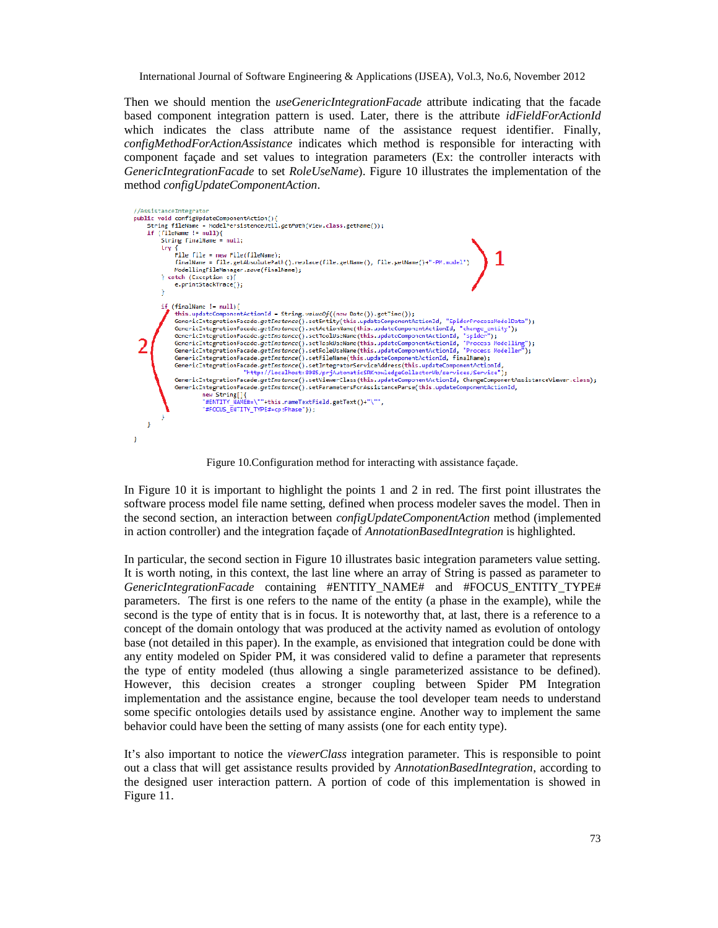Then we should mention the *useGenericIntegrationFacade* attribute indicating that the facade based component integration pattern is used. Later, there is the attribute *idFieldForActionId* which indicates the class attribute name of the assistance request identifier. Finally, *configMethodForActionAssistance* indicates which method is responsible for interacting with component façade and set values to integration parameters (Ex: the controller interacts with *GenericIntegrationFacade* to set *RoleUseName*). Figure 10 illustrates the implementation of the method *configUpdateComponentAction*.

| //AssistanceIntegrator<br>public void configUpdateComponentAction(){                                                                                                                                                                                                                                                                                                                                                                                                                                                                                                                                                                                                                                                                                                                                                                                                                                                                                                                                                                                                                                                                                                                                                                                                                       |
|--------------------------------------------------------------------------------------------------------------------------------------------------------------------------------------------------------------------------------------------------------------------------------------------------------------------------------------------------------------------------------------------------------------------------------------------------------------------------------------------------------------------------------------------------------------------------------------------------------------------------------------------------------------------------------------------------------------------------------------------------------------------------------------------------------------------------------------------------------------------------------------------------------------------------------------------------------------------------------------------------------------------------------------------------------------------------------------------------------------------------------------------------------------------------------------------------------------------------------------------------------------------------------------------|
| String fileName = ModelPersistenceUtil.getPath(View.class.getName());                                                                                                                                                                                                                                                                                                                                                                                                                                                                                                                                                                                                                                                                                                                                                                                                                                                                                                                                                                                                                                                                                                                                                                                                                      |
| $if (fileName != null)$                                                                                                                                                                                                                                                                                                                                                                                                                                                                                                                                                                                                                                                                                                                                                                                                                                                                                                                                                                                                                                                                                                                                                                                                                                                                    |
| $String$ $FinalName = null;$                                                                                                                                                                                                                                                                                                                                                                                                                                                                                                                                                                                                                                                                                                                                                                                                                                                                                                                                                                                                                                                                                                                                                                                                                                                               |
| try {                                                                                                                                                                                                                                                                                                                                                                                                                                                                                                                                                                                                                                                                                                                                                                                                                                                                                                                                                                                                                                                                                                                                                                                                                                                                                      |
| File $file = new File(fileName);$                                                                                                                                                                                                                                                                                                                                                                                                                                                                                                                                                                                                                                                                                                                                                                                                                                                                                                                                                                                                                                                                                                                                                                                                                                                          |
| finalName = file.getAbsolutePath().replace(file.getName(), file.getName()+"-PM.model")                                                                                                                                                                                                                                                                                                                                                                                                                                                                                                                                                                                                                                                                                                                                                                                                                                                                                                                                                                                                                                                                                                                                                                                                     |
| ModellingFileManager.save(finalName);                                                                                                                                                                                                                                                                                                                                                                                                                                                                                                                                                                                                                                                                                                                                                                                                                                                                                                                                                                                                                                                                                                                                                                                                                                                      |
| } catch (Exception e){                                                                                                                                                                                                                                                                                                                                                                                                                                                                                                                                                                                                                                                                                                                                                                                                                                                                                                                                                                                                                                                                                                                                                                                                                                                                     |
| e.printStackTrace();                                                                                                                                                                                                                                                                                                                                                                                                                                                                                                                                                                                                                                                                                                                                                                                                                                                                                                                                                                                                                                                                                                                                                                                                                                                                       |
|                                                                                                                                                                                                                                                                                                                                                                                                                                                                                                                                                                                                                                                                                                                                                                                                                                                                                                                                                                                                                                                                                                                                                                                                                                                                                            |
| if (finalNanc ! null)<br>this.updatcComponentActionId - String.valueOf((new Datc()).getTime());<br>GenericIntegrationFacade.getInstance().setEntity(this.updateComponentActionId, "SpiderProcessModelData");<br>GenericIntegrationFacade.getInstance().setActionNane(this.updateComponentActionId, "change entity");<br>GenericIntegrationFacade.getInstance().setToolUseNane(this.updateComponentActionId, "spider");<br>GenericIntegrationFacade.getInstance().setTaskUseNane(this.updateComponentActionId, "Process Modelling");<br>GenericIntegrationFacade.getInstance().setRoleUseNane(this.updateComponentActionId, "Process Modeller");<br>GenericIntegrationFacade.getInstance().setFileName(this.updateComponentActionId, finalName);<br>GenericIntegrationFacade.getInstance().setIntegratorServiceAddress(this.updateComponentActionId,<br>"http://localhost:8085/prjAutomaticSRKnowledgeCollectorWb/services/Service");<br>GenericIntegrationFacade.getInstance().setViewerClass(this.updateComponentActionId, ChangeComponentAssistanceViewer.class);<br>GenericIntegrationFacade.getInstance().setParametersForAssistanceParse(this.updateComponentActionId,<br>new String[]{<br>"#ENTITY NAME#=\""+this.nameTextField.getText()+"\"".<br>"#FOCUS ENTITY TYPE#=cp:Phase"}); |
|                                                                                                                                                                                                                                                                                                                                                                                                                                                                                                                                                                                                                                                                                                                                                                                                                                                                                                                                                                                                                                                                                                                                                                                                                                                                                            |

Figure 10.Configuration method for interacting with assistance façade.

In Figure 10 it is important to highlight the points 1 and 2 in red. The first point illustrates the software process model file name setting, defined when process modeler saves the model. Then in the second section, an interaction between *configUpdateComponentAction* method (implemented in action controller) and the integration façade of *AnnotationBasedIntegration* is highlighted.

In particular, the second section in Figure 10 illustrates basic integration parameters value setting. It is worth noting, in this context, the last line where an array of String is passed as parameter to *GenericIntegrationFacade* containing #ENTITY\_NAME# and #FOCUS\_ENTITY\_TYPE# parameters. The first is one refers to the name of the entity (a phase in the example), while the second is the type of entity that is in focus. It is noteworthy that, at last, there is a reference to a concept of the domain ontology that was produced at the activity named as evolution of ontology base (not detailed in this paper). In the example, as envisioned that integration could be done with any entity modeled on Spider PM, it was considered valid to define a parameter that represents the type of entity modeled (thus allowing a single parameterized assistance to be defined). However, this decision creates a stronger coupling between Spider PM Integration implementation and the assistance engine, because the tool developer team needs to understand some specific ontologies details used by assistance engine. Another way to implement the same behavior could have been the setting of many assists (one for each entity type).

It's also important to notice the *viewerClass* integration parameter. This is responsible to point out a class that will get assistance results provided by *AnnotationBasedIntegration*, according to the designed user interaction pattern. A portion of code of this implementation is showed in Figure 11.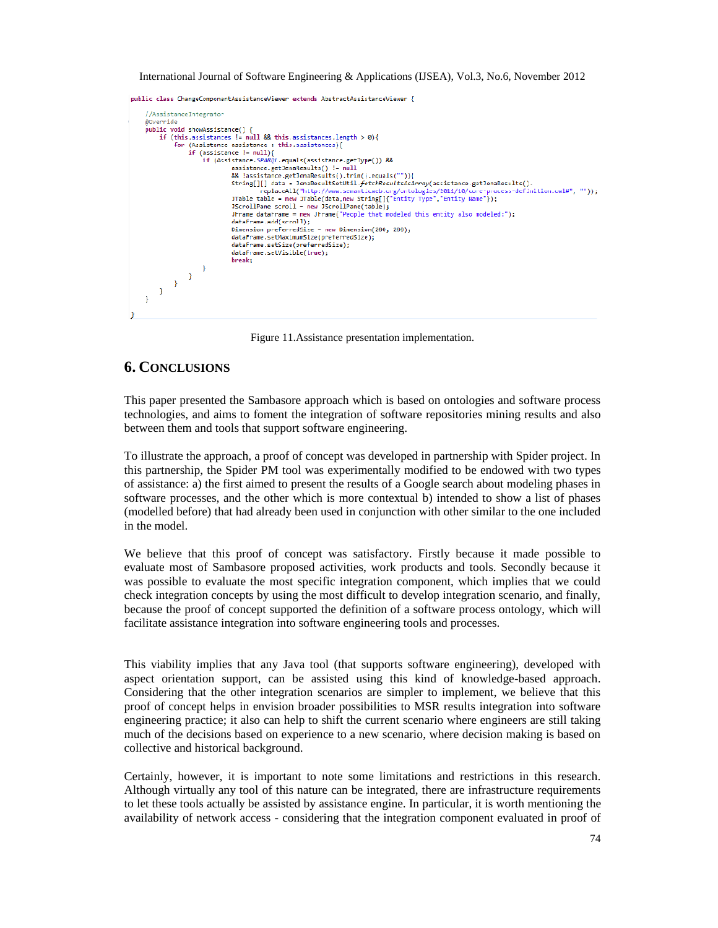public class ChangeComponentAssistanceViewer extends AbstractAssistanceViewer {



Figure 11.Assistance presentation implementation.

## **6. CONCLUSIONS**

This paper presented the Sambasore approach which is based on ontologies and software process technologies, and aims to foment the integration of software repositories mining results and also between them and tools that support software engineering.

To illustrate the approach, a proof of concept was developed in partnership with Spider project. In this partnership, the Spider PM tool was experimentally modified to be endowed with two types of assistance: a) the first aimed to present the results of a Google search about modeling phases in software processes, and the other which is more contextual b) intended to show a list of phases (modelled before) that had already been used in conjunction with other similar to the one included in the model.

We believe that this proof of concept was satisfactory. Firstly because it made possible to evaluate most of Sambasore proposed activities, work products and tools. Secondly because it was possible to evaluate the most specific integration component, which implies that we could check integration concepts by using the most difficult to develop integration scenario, and finally, because the proof of concept supported the definition of a software process ontology, which will facilitate assistance integration into software engineering tools and processes.

This viability implies that any Java tool (that supports software engineering), developed with aspect orientation support, can be assisted using this kind of knowledge-based approach. Considering that the other integration scenarios are simpler to implement, we believe that this proof of concept helps in envision broader possibilities to MSR results integration into software engineering practice; it also can help to shift the current scenario where engineers are still taking much of the decisions based on experience to a new scenario, where decision making is based on collective and historical background.

Certainly, however, it is important to note some limitations and restrictions in this research. Although virtually any tool of this nature can be integrated, there are infrastructure requirements to let these tools actually be assisted by assistance engine. In particular, it is worth mentioning the availability of network access - considering that the integration component evaluated in proof of